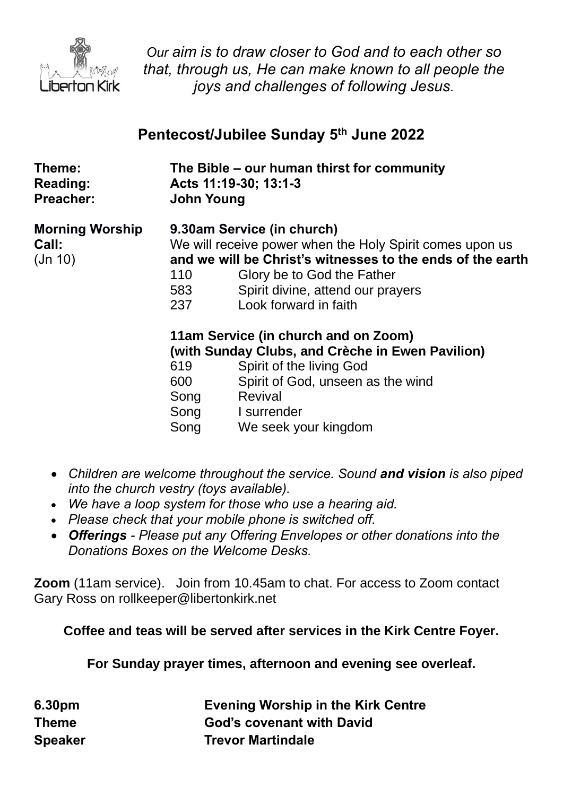

*Our aim is to draw closer to God and to each other so that, through us, He can make known to all people the joys and challenges of following Jesus.*

# **Pentecost/Jubilee Sunday 5 th June 2022**

| Theme:<br>Reading:<br><b>Preacher:</b>   | <b>John Young</b>                  | The Bible - our human thirst for community<br>Acts 11:19-30; 13:1-3                                                                                                                                                                              |
|------------------------------------------|------------------------------------|--------------------------------------------------------------------------------------------------------------------------------------------------------------------------------------------------------------------------------------------------|
| <b>Morning Worship</b><br>Call:<br>Jn 10 | 110<br>583<br>237                  | 9.30am Service (in church)<br>We will receive power when the Holy Spirit comes upon us<br>and we will be Christ's witnesses to the ends of the earth<br>Glory be to God the Father<br>Spirit divine, attend our prayers<br>Look forward in faith |
|                                          | 619<br>600<br>Song<br>Song<br>Song | 11am Service (in church and on Zoom)<br>(with Sunday Clubs, and Crèche in Ewen Pavilion)<br>Spirit of the living God<br>Spirit of God, unseen as the wind<br>Revival<br>I surrender<br>We seek your kingdom                                      |

- *Children are welcome throughout the service. Sound and vision is also piped into the church vestry (toys available).*
- *We have a loop system for those who use a hearing aid.*
- *Please check that your mobile phone is switched off.*
- *Offerings - Please put any Offering Envelopes or other donations into the Donations Boxes on the Welcome Desks.*

**Zoom** (11am service).Join from 10.45am to chat. For access to Zoom contact Gary Ross on rollkeeper@libertonkirk.net

**Coffee and teas will be served after services in the Kirk Centre Foyer.**

**For Sunday prayer times, afternoon and evening see overleaf.**

| 6.30pm         | <b>Evening Worship in the Kirk Centre</b> |
|----------------|-------------------------------------------|
| <b>Theme</b>   | <b>God's covenant with David</b>          |
| <b>Speaker</b> | <b>Trevor Martindale</b>                  |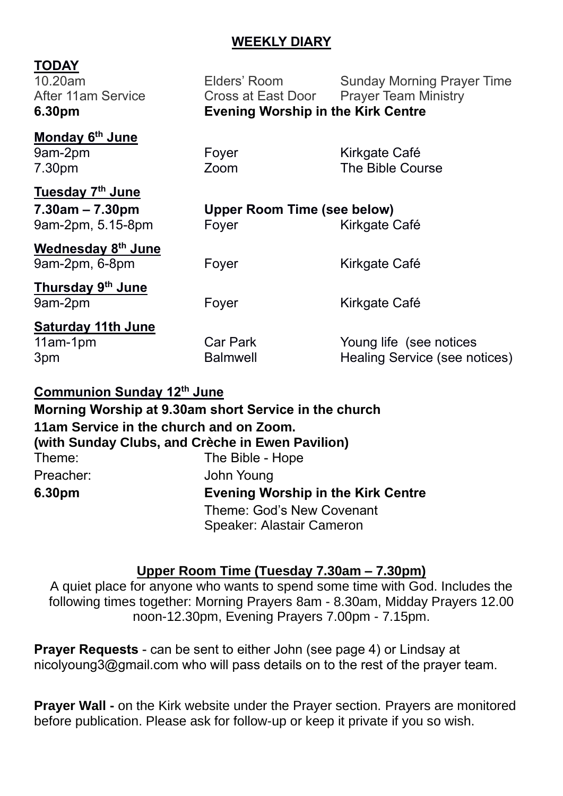# **WEEKLY DIARY**

# **TODAY**

10.20am Elders' Room Sunday Morning Prayer Time After 11am Service **Cross at East Door** Prayer Team Ministry **6.30pm Evening Worship in the Kirk Centre**

#### **Monday 6 th June** 9am-2pm Foyer Form Kirkgate Café 7.30pm Zoom The Bible Course

**Tuesday 7 th June**

**7.30am – 7.30pm Upper Room Time (see below)** 9am-2pm, 5.15-8pm Foyer Form Kirkgate Café

**Wednesday 8 th June** 9am-2pm, 6-8pm Foyer Form Kirkgate Café

**Thursday 9 th June** 9am-2pm Foyer Fore Kirkgate Café

**Saturday 11th June**

11am-1pm Car Park Young life (see notices 3pm Balmwell Healing Service (see notices)

#### **Communion Sunday 12th June**

|           | Morning Worship at 9.30am short Service in the church                                       |
|-----------|---------------------------------------------------------------------------------------------|
|           | 11am Service in the church and on Zoom.<br>(with Sunday Clubs, and Crèche in Ewen Pavilion) |
| Theme:    | The Bible - Hope                                                                            |
| Preacher: | John Young                                                                                  |
| 6.30pm    | <b>Evening Worship in the Kirk Centre</b>                                                   |
|           | <b>Theme: God's New Covenant</b>                                                            |
|           | Speaker: Alastair Cameron                                                                   |

#### **Upper Room Time (Tuesday 7.30am – 7.30pm)**

A quiet place for anyone who wants to spend some time with God. Includes the following times together: Morning Prayers 8am - 8.30am, Midday Prayers 12.00 noon-12.30pm, Evening Prayers 7.00pm - 7.15pm.

**Prayer Requests** - can be sent to either John (see page 4) or Lindsay at [nicolyoung3@gmail.com](mailto:nicolyoung3@gmail.com) who will pass details on to the rest of the prayer team.

**Prayer Wall -** on the Kirk website under the Prayer section. Prayers are monitored before publication. Please ask for follow-up or keep it private if you so wish.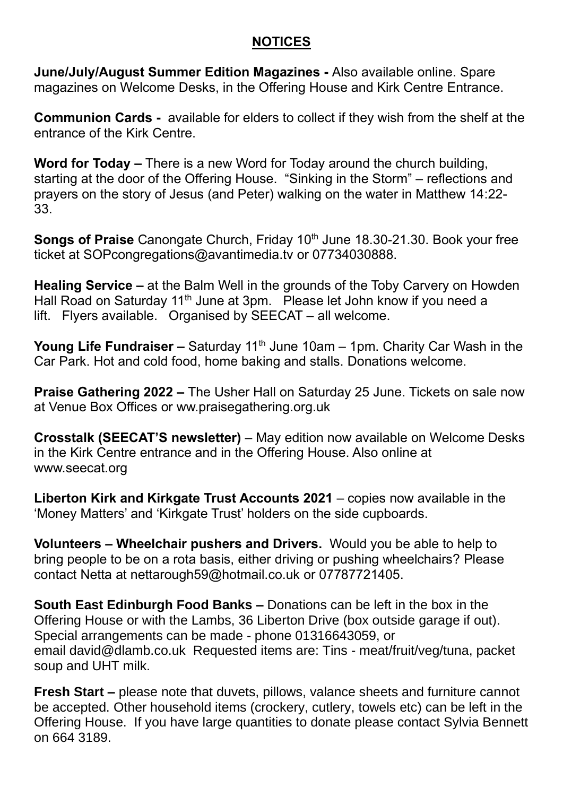# **NOTICES**

**June/July/August Summer Edition Magazines -** Also available online. Spare magazines on Welcome Desks, in the Offering House and Kirk Centre Entrance.

**Communion Cards -** available for elders to collect if they wish from the shelf at the entrance of the Kirk Centre.

**Word for Today –** There is a new Word for Today around the church building, starting at the door of the Offering House. "Sinking in the Storm" – reflections and prayers on the story of Jesus (and Peter) walking on the water in Matthew 14:22- 33.

**Songs of Praise** Canongate Church, Friday 10<sup>th</sup> June 18.30-21.30. Book your free ticket at [SOPcongregations@avantimedia.tv](mailto:SOPcongregations@avantimedia.tv) or 07734030888.

**Healing Service –** at the Balm Well in the grounds of the Toby Carvery on Howden Hall Road on Saturday 11<sup>th</sup> June at 3pm. Please let John know if you need a lift. Flyers available. Organised by SEECAT – all welcome.

**Young Life Fundraiser –** Saturday 11<sup>th</sup> June 10am – 1pm. Charity Car Wash in the Car Park. Hot and cold food, home baking and stalls. Donations welcome.

**Praise Gathering 2022 –** The Usher Hall on Saturday 25 June. Tickets on sale now at Venue Box Offices or ww.praisegathering.org.uk

**Crosstalk (SEECAT'S newsletter)** – May edition now available on Welcome Desks in the Kirk Centre entrance and in the Offering House. Also online at [www.seecat.org](http://www.seecat.org/)

**Liberton Kirk and Kirkgate Trust Accounts 2021** – copies now available in the 'Money Matters' and 'Kirkgate Trust' holders on the side cupboards.

**Volunteers – Wheelchair pushers and Drivers.** Would you be able to help to bring people to be on a rota basis, either driving or pushing wheelchairs? Please contact Netta at [nettarough59@hotmail.co.uk](mailto:nettarough59@hotmail.co.uk) or 07787721405.

**South East Edinburgh Food Banks –** Donations can be left in the box in the Offering House or with the Lambs, 36 Liberton Drive (box outside garage if out). Special arrangements can be made - phone 01316643059, or email [david@dlamb.co.uk](mailto:david@dlamb.co.uk) Requested items are: Tins - meat/fruit/veg/tuna, packet soup and UHT milk.

**Fresh Start –** please note that duvets, pillows, valance sheets and furniture cannot be accepted. Other household items (crockery, cutlery, towels etc) can be left in the Offering House. If you have large quantities to donate please contact Sylvia Bennett on 664 3189.